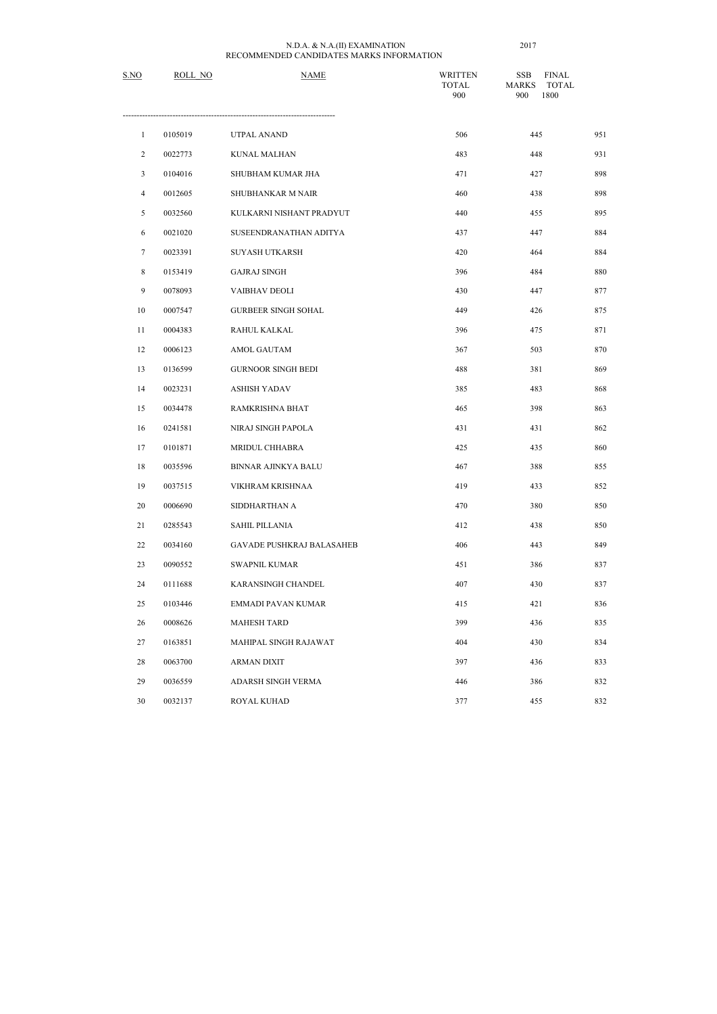| S.NO           | ROLL NO | <b>NAME</b>                      | <b>WRITTEN</b><br><b>TOTAL</b><br>900 | <b>SSB</b><br><b>FINAL</b><br><b>MARKS</b><br><b>TOTAL</b><br>1800<br>900 |     |
|----------------|---------|----------------------------------|---------------------------------------|---------------------------------------------------------------------------|-----|
| $\mathbf{1}$   | 0105019 | <b>UTPAL ANAND</b>               | 506                                   | 445                                                                       | 951 |
| $\overline{c}$ | 0022773 | <b>KUNAL MALHAN</b>              | 483                                   | 448                                                                       | 931 |
| $\mathfrak{Z}$ | 0104016 | SHUBHAM KUMAR JHA                | 471                                   | 427                                                                       | 898 |
| 4              | 0012605 | SHUBHANKAR M NAIR                | 460                                   | 438                                                                       | 898 |
| 5              | 0032560 | KULKARNI NISHANT PRADYUT         | 440                                   | 455                                                                       | 895 |
| 6              | 0021020 | SUSEENDRANATHAN ADITYA           | 437                                   | 447                                                                       | 884 |
| $\tau$         | 0023391 | <b>SUYASH UTKARSH</b>            | 420                                   | 464                                                                       | 884 |
| 8              | 0153419 | <b>GAJRAJ SINGH</b>              | 396                                   | 484                                                                       | 880 |
| $\mathbf{9}$   | 0078093 | VAIBHAV DEOLI                    | 430                                   | 447                                                                       | 877 |
| $10\,$         | 0007547 | <b>GURBEER SINGH SOHAL</b>       | 449                                   | 426                                                                       | 875 |
| 11             | 0004383 | RAHUL KALKAL                     | 396                                   | 475                                                                       | 871 |
| 12             | 0006123 | AMOL GAUTAM                      | 367                                   | 503                                                                       | 870 |
| 13             | 0136599 | <b>GURNOOR SINGH BEDI</b>        | 488                                   | 381                                                                       | 869 |
| 14             | 0023231 | <b>ASHISH YADAV</b>              | 385                                   | 483                                                                       | 868 |
| 15             | 0034478 | RAMKRISHNA BHAT                  | 465                                   | 398                                                                       | 863 |
| 16             | 0241581 | NIRAJ SINGH PAPOLA               | 431                                   | 431                                                                       | 862 |
| 17             | 0101871 | MRIDUL CHHABRA                   | 425                                   | 435                                                                       | 860 |
| 18             | 0035596 | <b>BINNAR AJINKYA BALU</b>       | 467                                   | 388                                                                       | 855 |
| 19             | 0037515 | VIKHRAM KRISHNAA                 | 419                                   | 433                                                                       | 852 |
| 20             | 0006690 | SIDDHARTHAN A                    | 470                                   | 380                                                                       | 850 |
| 21             | 0285543 | <b>SAHIL PILLANIA</b>            | 412                                   | 438                                                                       | 850 |
| 22             | 0034160 | <b>GAVADE PUSHKRAJ BALASAHEB</b> | 406                                   | 443                                                                       | 849 |
| 23             | 0090552 | <b>SWAPNIL KUMAR</b>             | 451                                   | 386                                                                       | 837 |
| 24             | 0111688 | KARANSINGH CHANDEL               | 407                                   | 430                                                                       | 837 |
| 25             | 0103446 | EMMADI PAVAN KUMAR               | 415                                   | 421                                                                       | 836 |
| 26             | 0008626 | <b>MAHESH TARD</b>               | 399                                   | 436                                                                       | 835 |
| 27             | 0163851 | MAHIPAL SINGH RAJAWAT            | 404                                   | 430                                                                       | 834 |
| 28             | 0063700 | ARMAN DIXIT                      | 397                                   | 436                                                                       | 833 |
| 29             | 0036559 | ADARSH SINGH VERMA               | 446                                   | 386                                                                       | 832 |
| $30\,$         | 0032137 | ROYAL KUHAD                      | 377                                   | 455                                                                       | 832 |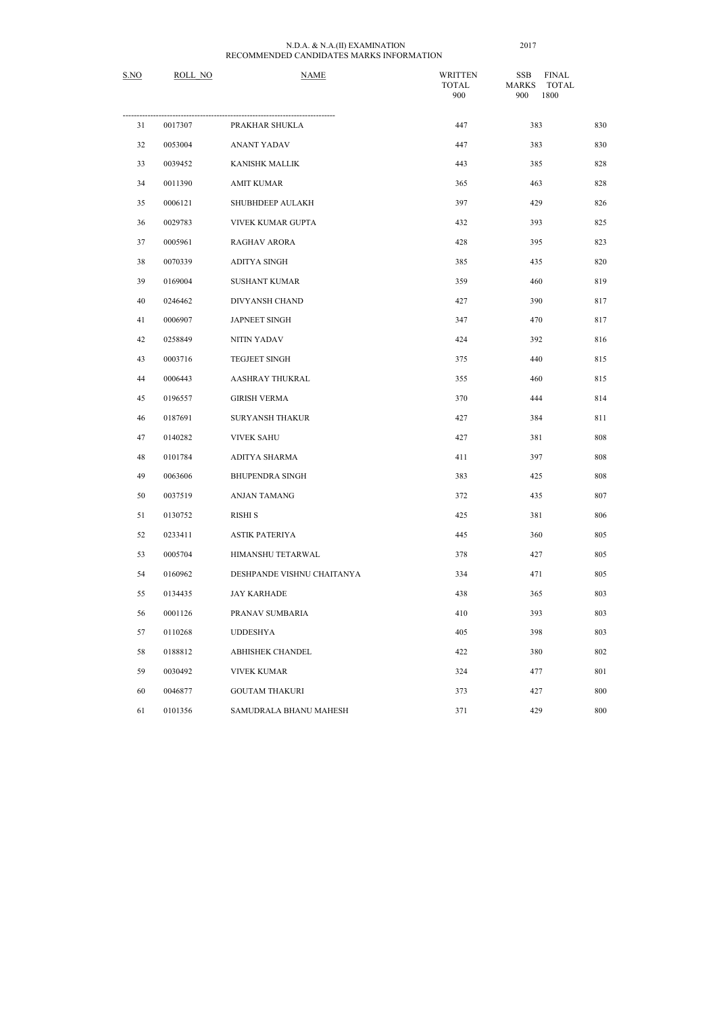| S.NO | ROLL NO | <b>NAME</b>                | <b>WRITTEN</b><br><b>TOTAL</b><br>900 | <b>SSB</b><br><b>FINAL</b><br><b>MARKS</b><br><b>TOTAL</b><br>1800<br>900 |     |
|------|---------|----------------------------|---------------------------------------|---------------------------------------------------------------------------|-----|
| 31   | 0017307 | PRAKHAR SHUKLA             | 447                                   | 383                                                                       | 830 |
| 32   | 0053004 | <b>ANANT YADAV</b>         | 447                                   | 383                                                                       | 830 |
| 33   | 0039452 | <b>KANISHK MALLIK</b>      | 443                                   | 385                                                                       | 828 |
| 34   | 0011390 | <b>AMIT KUMAR</b>          | 365                                   | 463                                                                       | 828 |
| 35   | 0006121 | SHUBHDEEP AULAKH           | 397                                   | 429                                                                       | 826 |
| 36   | 0029783 | VIVEK KUMAR GUPTA          | 432                                   | 393                                                                       | 825 |
| 37   | 0005961 | <b>RAGHAV ARORA</b>        | 428                                   | 395                                                                       | 823 |
| 38   | 0070339 | <b>ADITYA SINGH</b>        | 385                                   | 435                                                                       | 820 |
| 39   | 0169004 | <b>SUSHANT KUMAR</b>       | 359                                   | 460                                                                       | 819 |
| 40   | 0246462 | DIVYANSH CHAND             | 427                                   | 390                                                                       | 817 |
| 41   | 0006907 | <b>JAPNEET SINGH</b>       | 347                                   | 470                                                                       | 817 |
| 42   | 0258849 | NITIN YADAV                | 424                                   | 392                                                                       | 816 |
| 43   | 0003716 | TEGJEET SINGH              | 375                                   | 440                                                                       | 815 |
| 44   | 0006443 | AASHRAY THUKRAL            | 355                                   | 460                                                                       | 815 |
| 45   | 0196557 | <b>GIRISH VERMA</b>        | 370                                   | 444                                                                       | 814 |
| 46   | 0187691 | <b>SURYANSH THAKUR</b>     | 427                                   | 384                                                                       | 811 |
| 47   | 0140282 | <b>VIVEK SAHU</b>          | 427                                   | 381                                                                       | 808 |
| 48   | 0101784 | ADITYA SHARMA              | 411                                   | 397                                                                       | 808 |
| 49   | 0063606 | <b>BHUPENDRA SINGH</b>     | 383                                   | 425                                                                       | 808 |
| 50   | 0037519 | <b>ANJAN TAMANG</b>        | 372                                   | 435                                                                       | 807 |
| 51   | 0130752 | <b>RISHI S</b>             | 425                                   | 381                                                                       | 806 |
| 52   | 0233411 | <b>ASTIK PATERIYA</b>      | 445                                   | 360                                                                       | 805 |
| 53   | 0005704 | HIMANSHU TETARWAL          | 378                                   | 427                                                                       | 805 |
| 54   | 0160962 | DESHPANDE VISHNU CHAITANYA | 334                                   | 471                                                                       | 805 |
| 55   | 0134435 | <b>JAY KARHADE</b>         | 438                                   | 365                                                                       | 803 |
| 56   | 0001126 | PRANAV SUMBARIA            | 410                                   | 393                                                                       | 803 |
| 57   | 0110268 | <b>UDDESHYA</b>            | 405                                   | 398                                                                       | 803 |
| 58   | 0188812 | ABHISHEK CHANDEL           | 422                                   | 380                                                                       | 802 |
| 59   | 0030492 | <b>VIVEK KUMAR</b>         | 324                                   | 477                                                                       | 801 |
| 60   | 0046877 | <b>GOUTAM THAKURI</b>      | 373                                   | 427                                                                       | 800 |
| 61   | 0101356 | SAMUDRALA BHANU MAHESH     | 371                                   | 429                                                                       | 800 |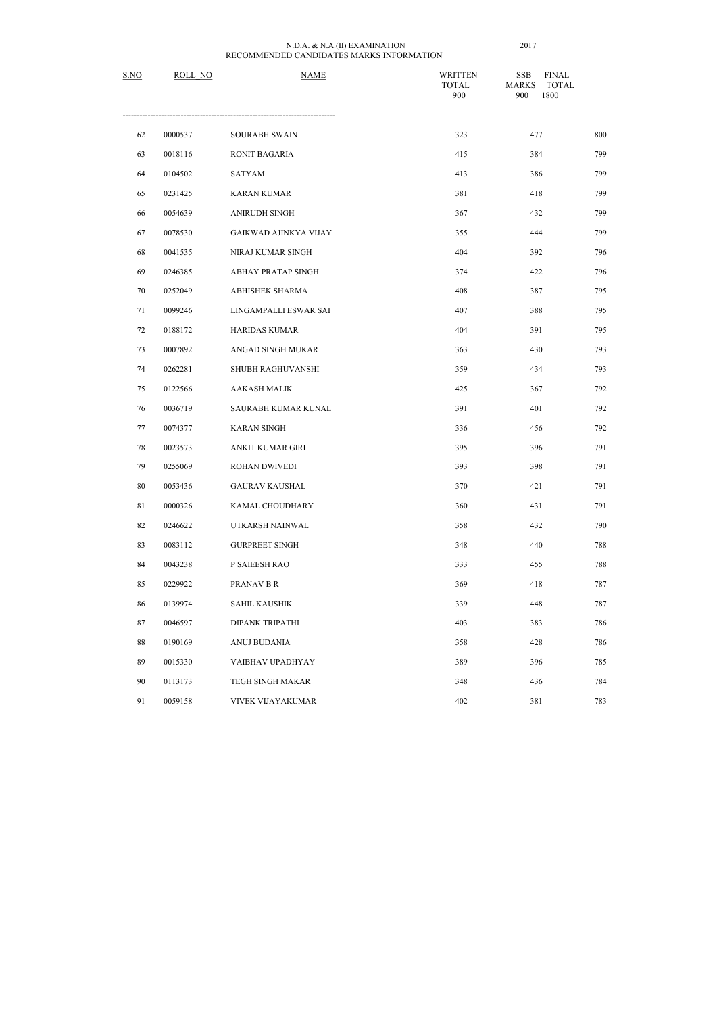| S.NO   | ROLL NO | <b>NAME</b>                  | <b>WRITTEN</b><br><b>TOTAL</b><br>900 | <b>FINAL</b><br><b>SSB</b><br><b>TOTAL</b><br><b>MARKS</b><br>1800<br>900 |     |
|--------|---------|------------------------------|---------------------------------------|---------------------------------------------------------------------------|-----|
| 62     | 0000537 | <b>SOURABH SWAIN</b>         | 323                                   | 477                                                                       | 800 |
| 63     | 0018116 | RONIT BAGARIA                | 415                                   | 384                                                                       | 799 |
| 64     | 0104502 | <b>SATYAM</b>                | 413                                   | 386                                                                       | 799 |
| 65     | 0231425 | <b>KARAN KUMAR</b>           | 381                                   | 418                                                                       | 799 |
| 66     | 0054639 | ANIRUDH SINGH                | 367                                   | 432                                                                       | 799 |
| 67     | 0078530 | <b>GAIKWAD AJINKYA VIJAY</b> | 355                                   | 444                                                                       | 799 |
| 68     | 0041535 | NIRAJ KUMAR SINGH            | 404                                   | 392                                                                       | 796 |
| 69     | 0246385 | ABHAY PRATAP SINGH           | 374                                   | 422                                                                       | 796 |
| 70     | 0252049 | <b>ABHISHEK SHARMA</b>       | 408                                   | 387                                                                       | 795 |
| 71     | 0099246 | LINGAMPALLI ESWAR SAI        | 407                                   | 388                                                                       | 795 |
| 72     | 0188172 | <b>HARIDAS KUMAR</b>         | 404                                   | 391                                                                       | 795 |
| 73     | 0007892 | ANGAD SINGH MUKAR            | 363                                   | 430                                                                       | 793 |
| 74     | 0262281 | SHUBH RAGHUVANSHI            | 359                                   | 434                                                                       | 793 |
| 75     | 0122566 | <b>AAKASH MALIK</b>          | 425                                   | 367                                                                       | 792 |
| 76     | 0036719 | SAURABH KUMAR KUNAL          | 391                                   | 401                                                                       | 792 |
| 77     | 0074377 | <b>KARAN SINGH</b>           | 336                                   | 456                                                                       | 792 |
| 78     | 0023573 | ANKIT KUMAR GIRI             | 395                                   | 396                                                                       | 791 |
| 79     | 0255069 | <b>ROHAN DWIVEDI</b>         | 393                                   | 398                                                                       | 791 |
| $80\,$ | 0053436 | <b>GAURAV KAUSHAL</b>        | 370                                   | 421                                                                       | 791 |
| 81     | 0000326 | KAMAL CHOUDHARY              | 360                                   | 431                                                                       | 791 |
| 82     | 0246622 | UTKARSH NAINWAL              | 358                                   | 432                                                                       | 790 |
| 83     | 0083112 | <b>GURPREET SINGH</b>        | 348                                   | 440                                                                       | 788 |
| 84     | 0043238 | P SAIEESH RAO                | 333                                   | 455                                                                       | 788 |
| 85     | 0229922 | PRANAV B R                   | 369                                   | 418                                                                       | 787 |
| 86     | 0139974 | <b>SAHIL KAUSHIK</b>         | 339                                   | 448                                                                       | 787 |
| 87     | 0046597 | <b>DIPANK TRIPATHI</b>       | 403                                   | 383                                                                       | 786 |
| 88     | 0190169 | ANUJ BUDANIA                 | 358                                   | 428                                                                       | 786 |
| 89     | 0015330 | VAIBHAV UPADHYAY             | 389                                   | 396                                                                       | 785 |
| 90     | 0113173 | TEGH SINGH MAKAR             | 348                                   | 436                                                                       | 784 |
| 91     | 0059158 | VIVEK VIJAYAKUMAR            | 402                                   | 381                                                                       | 783 |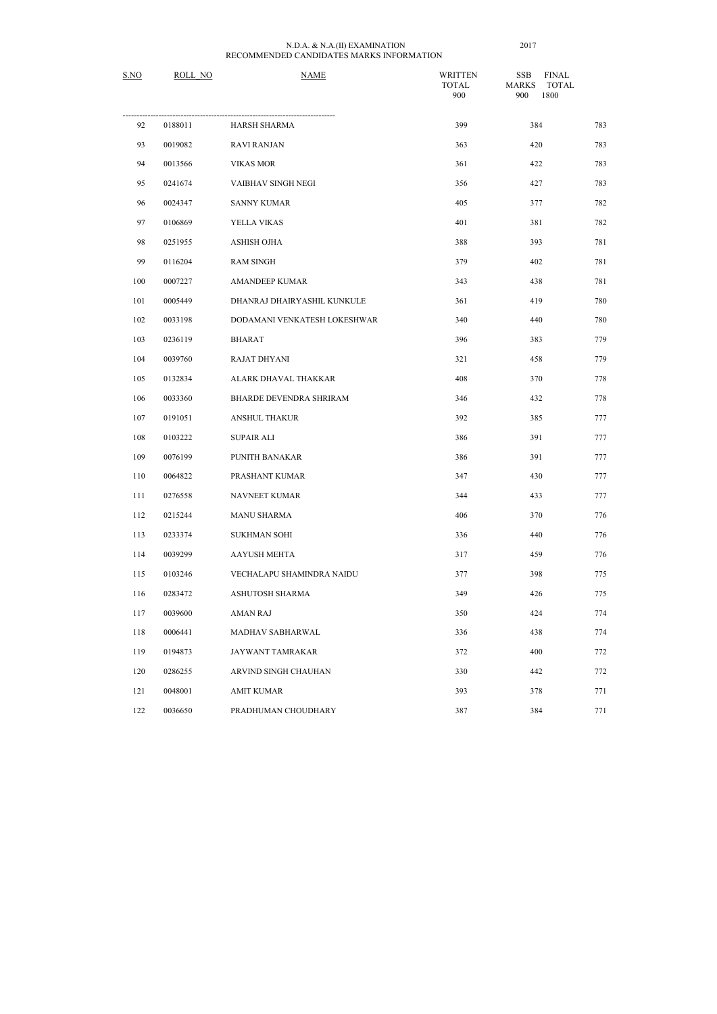| S.NO | ROLL NO | <b>NAME</b>                  | <b>WRITTEN</b><br><b>TOTAL</b><br>900 | <b>FINAL</b><br><b>SSB</b><br><b>MARKS</b><br><b>TOTAL</b><br>1800<br>900 |     |
|------|---------|------------------------------|---------------------------------------|---------------------------------------------------------------------------|-----|
| 92   | 0188011 | HARSH SHARMA                 | 399                                   | 384                                                                       | 783 |
| 93   | 0019082 | <b>RAVI RANJAN</b>           | 363                                   | 420                                                                       | 783 |
| 94   | 0013566 | <b>VIKAS MOR</b>             | 361                                   | 422                                                                       | 783 |
| 95   | 0241674 | VAIBHAV SINGH NEGI           | 356                                   | 427                                                                       | 783 |
| 96   | 0024347 | <b>SANNY KUMAR</b>           | 405                                   | 377                                                                       | 782 |
| 97   | 0106869 | YELLA VIKAS                  | 401                                   | 381                                                                       | 782 |
| 98   | 0251955 | ASHISH OJHA                  | 388                                   | 393                                                                       | 781 |
| 99   | 0116204 | <b>RAM SINGH</b>             | 379                                   | 402                                                                       | 781 |
| 100  | 0007227 | <b>AMANDEEP KUMAR</b>        | 343                                   | 438                                                                       | 781 |
| 101  | 0005449 | DHANRAJ DHAIRYASHIL KUNKULE  | 361                                   | 419                                                                       | 780 |
| 102  | 0033198 | DODAMANI VENKATESH LOKESHWAR | 340                                   | 440                                                                       | 780 |
| 103  | 0236119 | <b>BHARAT</b>                | 396                                   | 383                                                                       | 779 |
| 104  | 0039760 | RAJAT DHYANI                 | 321                                   | 458                                                                       | 779 |
| 105  | 0132834 | ALARK DHAVAL THAKKAR         | 408                                   | 370                                                                       | 778 |
| 106  | 0033360 | BHARDE DEVENDRA SHRIRAM      | 346                                   | 432                                                                       | 778 |
| 107  | 0191051 | <b>ANSHUL THAKUR</b>         | 392                                   | 385                                                                       | 777 |
| 108  | 0103222 | <b>SUPAIR ALI</b>            | 386                                   | 391                                                                       | 777 |
| 109  | 0076199 | PUNITH BANAKAR               | 386                                   | 391                                                                       | 777 |
| 110  | 0064822 | PRASHANT KUMAR               | 347                                   | 430                                                                       | 777 |
| 111  | 0276558 | NAVNEET KUMAR                | 344                                   | 433                                                                       | 777 |
| 112  | 0215244 | <b>MANU SHARMA</b>           | 406                                   | 370                                                                       | 776 |
| 113  | 0233374 | <b>SUKHMAN SOHI</b>          | 336                                   | 440                                                                       | 776 |
| 114  | 0039299 | <b>AAYUSH MEHTA</b>          | 317                                   | 459                                                                       | 776 |
| 115  | 0103246 | VECHALAPU SHAMINDRA NAIDU    | 377                                   | 398                                                                       | 775 |
| 116  | 0283472 | ASHUTOSH SHARMA              | 349                                   | 426                                                                       | 775 |
| 117  | 0039600 | <b>AMAN RAJ</b>              | 350                                   | 424                                                                       | 774 |
| 118  | 0006441 | MADHAV SABHARWAL             | 336                                   | 438                                                                       | 774 |
| 119  | 0194873 | JAYWANT TAMRAKAR             | 372                                   | 400                                                                       | 772 |
| 120  | 0286255 | ARVIND SINGH CHAUHAN         | 330                                   | 442                                                                       | 772 |
| 121  | 0048001 | <b>AMIT KUMAR</b>            | 393                                   | 378                                                                       | 771 |
| 122  | 0036650 | PRADHUMAN CHOUDHARY          | 387                                   | 384                                                                       | 771 |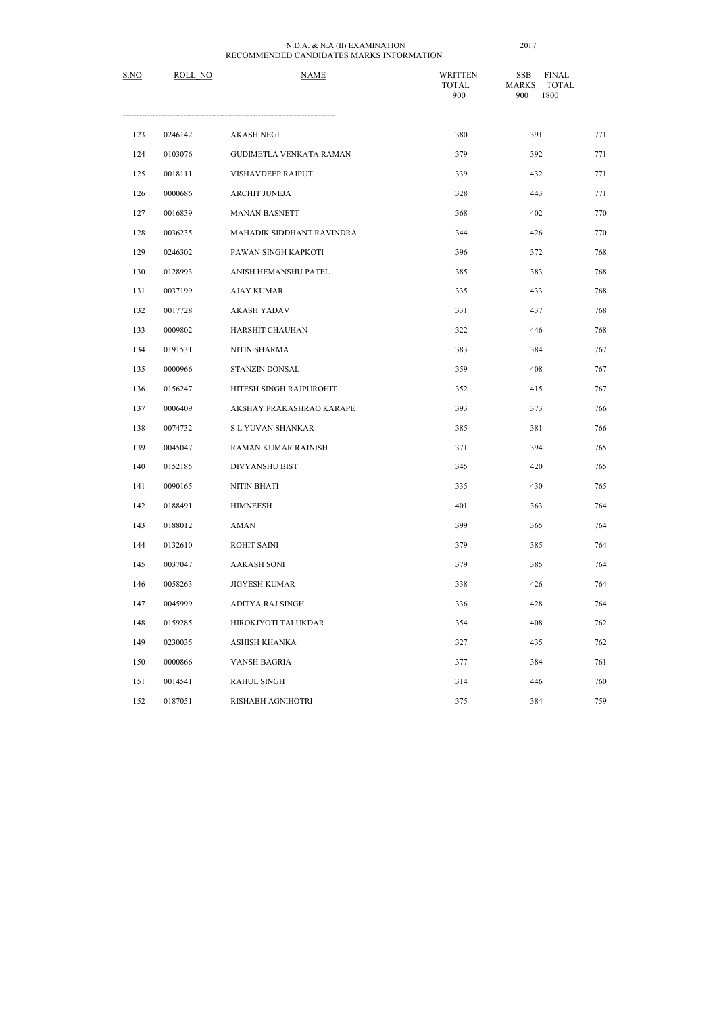| S.NO | ROLL NO | <b>NAME</b>                    | <b>WRITTEN</b><br><b>TOTAL</b><br>900 | <b>FINAL</b><br><b>SSB</b><br><b>MARKS</b><br><b>TOTAL</b><br>1800<br>900 |     |
|------|---------|--------------------------------|---------------------------------------|---------------------------------------------------------------------------|-----|
| 123  | 0246142 | <b>AKASH NEGI</b>              | 380                                   | 391                                                                       | 771 |
| 124  | 0103076 | <b>GUDIMETLA VENKATA RAMAN</b> | 379                                   | 392                                                                       | 771 |
| 125  | 0018111 | <b>VISHAVDEEP RAJPUT</b>       | 339                                   | 432                                                                       | 771 |
| 126  | 0000686 | ARCHIT JUNEJA                  | 328                                   | 443                                                                       | 771 |
| 127  | 0016839 | <b>MANAN BASNETT</b>           | 368                                   | 402                                                                       | 770 |
| 128  | 0036235 | MAHADIK SIDDHANT RAVINDRA      | 344                                   | 426                                                                       | 770 |
| 129  | 0246302 | PAWAN SINGH KAPKOTI            | 396                                   | 372                                                                       | 768 |
| 130  | 0128993 | ANISH HEMANSHU PATEL           | 385                                   | 383                                                                       | 768 |
| 131  | 0037199 | <b>AJAY KUMAR</b>              | 335                                   | 433                                                                       | 768 |
| 132  | 0017728 | <b>AKASH YADAV</b>             | 331                                   | 437                                                                       | 768 |
| 133  | 0009802 | HARSHIT CHAUHAN                | 322                                   | 446                                                                       | 768 |
| 134  | 0191531 | NITIN SHARMA                   | 383                                   | 384                                                                       | 767 |
| 135  | 0000966 | STANZIN DONSAL                 | 359                                   | 408                                                                       | 767 |
| 136  | 0156247 | HITESH SINGH RAJPUROHIT        | 352                                   | 415                                                                       | 767 |
| 137  | 0006409 | AKSHAY PRAKASHRAO KARAPE       | 393                                   | 373                                                                       | 766 |
| 138  | 0074732 | S L YUVAN SHANKAR              | 385                                   | 381                                                                       | 766 |
| 139  | 0045047 | RAMAN KUMAR RAJNISH            | 371                                   | 394                                                                       | 765 |
| 140  | 0152185 | <b>DIVYANSHU BIST</b>          | 345                                   | 420                                                                       | 765 |
| 141  | 0090165 | NITIN BHATI                    | 335                                   | 430                                                                       | 765 |
| 142  | 0188491 | <b>HIMNEESH</b>                | 401                                   | 363                                                                       | 764 |
| 143  | 0188012 | <b>AMAN</b>                    | 399                                   | 365                                                                       | 764 |
| 144  | 0132610 | <b>ROHIT SAINI</b>             | 379                                   | 385                                                                       | 764 |
| 145  | 0037047 | <b>AAKASH SONI</b>             | 379                                   | 385                                                                       | 764 |
| 146  | 0058263 | <b>JIGYESH KUMAR</b>           | 338                                   | 426                                                                       | 764 |
| 147  | 0045999 | ADITYA RAJ SINGH               | 336                                   | 428                                                                       | 764 |
| 148  | 0159285 | HIROKJYOTI TALUKDAR            | 354                                   | 408                                                                       | 762 |
| 149  | 0230035 | ASHISH KHANKA                  | 327                                   | 435                                                                       | 762 |
| 150  | 0000866 | VANSH BAGRIA                   | 377                                   | 384                                                                       | 761 |
| 151  | 0014541 | <b>RAHUL SINGH</b>             | 314                                   | 446                                                                       | 760 |
| 152  | 0187051 | RISHABH AGNIHOTRI              | 375                                   | 384                                                                       | 759 |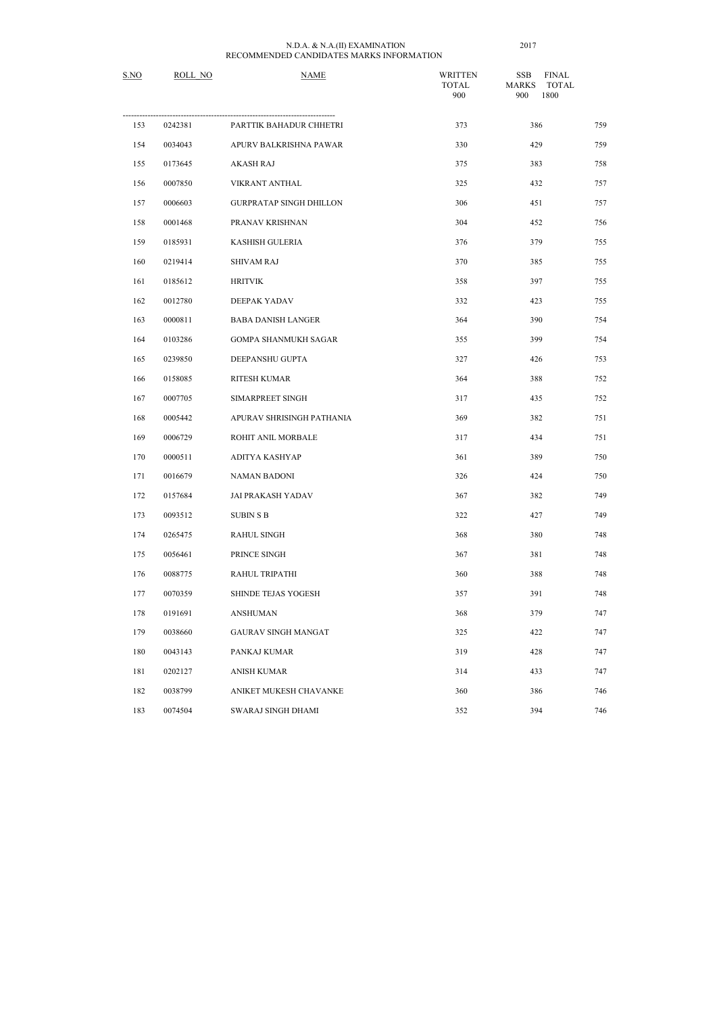| S.NO | ROLL NO | <b>NAME</b>                    | <b>WRITTEN</b><br><b>TOTAL</b><br>900 | <b>FINAL</b><br><b>SSB</b><br><b>MARKS</b><br><b>TOTAL</b><br>900<br>1800 |     |
|------|---------|--------------------------------|---------------------------------------|---------------------------------------------------------------------------|-----|
| 153  | 0242381 | PARTTIK BAHADUR CHHETRI        | 373                                   | 386                                                                       | 759 |
| 154  | 0034043 | APURV BALKRISHNA PAWAR         | 330                                   | 429                                                                       | 759 |
| 155  | 0173645 | <b>AKASH RAJ</b>               | 375                                   | 383                                                                       | 758 |
| 156  | 0007850 | VIKRANT ANTHAL                 | 325                                   | 432                                                                       | 757 |
| 157  | 0006603 | <b>GURPRATAP SINGH DHILLON</b> | 306                                   | 451                                                                       | 757 |
| 158  | 0001468 | PRANAV KRISHNAN                | 304                                   | 452                                                                       | 756 |
| 159  | 0185931 | <b>KASHISH GULERIA</b>         | 376                                   | 379                                                                       | 755 |
| 160  | 0219414 | <b>SHIVAM RAJ</b>              | 370                                   | 385                                                                       | 755 |
| 161  | 0185612 | <b>HRITVIK</b>                 | 358                                   | 397                                                                       | 755 |
| 162  | 0012780 | DEEPAK YADAV                   | 332                                   | 423                                                                       | 755 |
| 163  | 0000811 | <b>BABA DANISH LANGER</b>      | 364                                   | 390                                                                       | 754 |
| 164  | 0103286 | GOMPA SHANMUKH SAGAR           | 355                                   | 399                                                                       | 754 |
| 165  | 0239850 | DEEPANSHU GUPTA                | 327                                   | 426                                                                       | 753 |
| 166  | 0158085 | RITESH KUMAR                   | 364                                   | 388                                                                       | 752 |
| 167  | 0007705 | SIMARPREET SINGH               | 317                                   | 435                                                                       | 752 |
| 168  | 0005442 | APURAV SHRISINGH PATHANIA      | 369                                   | 382                                                                       | 751 |
| 169  | 0006729 | ROHIT ANIL MORBALE             | 317                                   | 434                                                                       | 751 |
| 170  | 0000511 | ADITYA KASHYAP                 | 361                                   | 389                                                                       | 750 |
| 171  | 0016679 | NAMAN BADONI                   | 326                                   | 424                                                                       | 750 |
| 172  | 0157684 | <b>JAI PRAKASH YADAV</b>       | 367                                   | 382                                                                       | 749 |
| 173  | 0093512 | <b>SUBIN S B</b>               | 322                                   | 427                                                                       | 749 |
| 174  | 0265475 | <b>RAHUL SINGH</b>             | 368                                   | 380                                                                       | 748 |
| 175  | 0056461 | PRINCE SINGH                   | 367                                   | 381                                                                       | 748 |
| 176  | 0088775 | RAHUL TRIPATHI                 | 360                                   | 388                                                                       | 748 |
| 177  | 0070359 | <b>SHINDE TEJAS YOGESH</b>     | 357                                   | 391                                                                       | 748 |
| 178  | 0191691 | <b>ANSHUMAN</b>                | 368                                   | 379                                                                       | 747 |
| 179  | 0038660 | GAURAV SINGH MANGAT            | 325                                   | 422                                                                       | 747 |
| 180  | 0043143 | PANKAJ KUMAR                   | 319                                   | 428                                                                       | 747 |
| 181  | 0202127 | <b>ANISH KUMAR</b>             | 314                                   | 433                                                                       | 747 |
| 182  | 0038799 | ANIKET MUKESH CHAVANKE         | 360                                   | 386                                                                       | 746 |
| 183  | 0074504 | SWARAJ SINGH DHAMI             | 352                                   | 394                                                                       | 746 |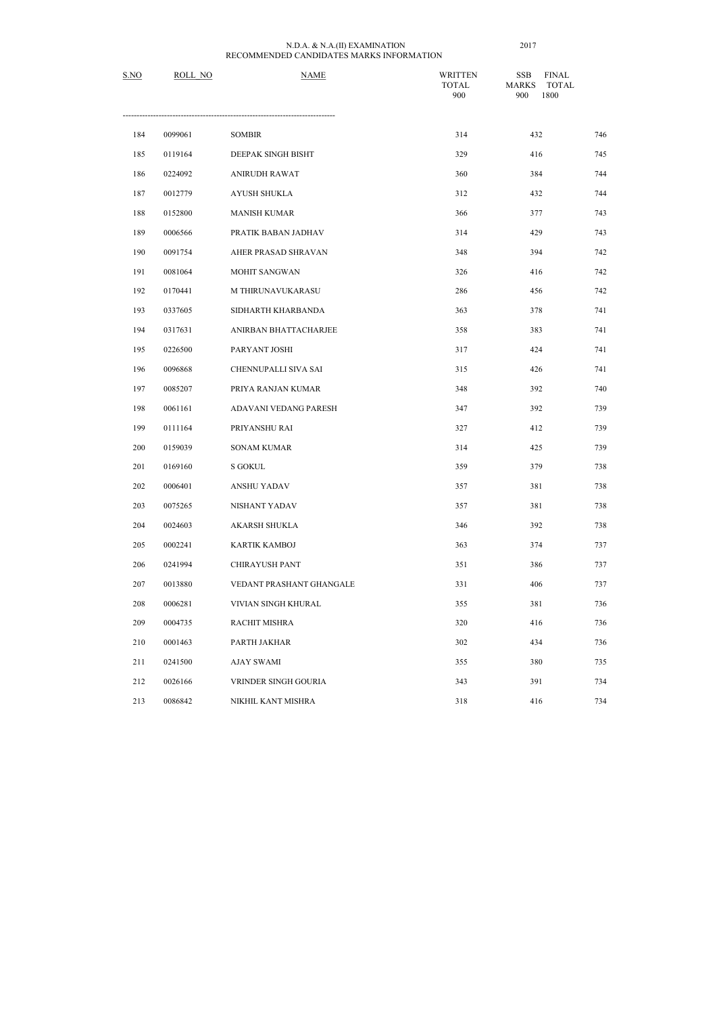| S.NO | ROLL NO | <b>NAME</b>              | <b>WRITTEN</b><br><b>TOTAL</b><br>900 | <b>FINAL</b><br><b>SSB</b><br><b>MARKS</b><br><b>TOTAL</b><br>1800<br>900 |     |
|------|---------|--------------------------|---------------------------------------|---------------------------------------------------------------------------|-----|
| 184  | 0099061 | <b>SOMBIR</b>            | 314                                   | 432                                                                       | 746 |
| 185  | 0119164 | DEEPAK SINGH BISHT       | 329                                   | 416                                                                       | 745 |
| 186  | 0224092 | <b>ANIRUDH RAWAT</b>     | 360                                   | 384                                                                       | 744 |
| 187  | 0012779 | AYUSH SHUKLA             | 312                                   | 432                                                                       | 744 |
| 188  | 0152800 | <b>MANISH KUMAR</b>      | 366                                   | 377                                                                       | 743 |
| 189  | 0006566 | PRATIK BABAN JADHAV      | 314                                   | 429                                                                       | 743 |
| 190  | 0091754 | AHER PRASAD SHRAVAN      | 348                                   | 394                                                                       | 742 |
| 191  | 0081064 | <b>MOHIT SANGWAN</b>     | 326                                   | 416                                                                       | 742 |
| 192  | 0170441 | M THIRUNAVUKARASU        | 286                                   | 456                                                                       | 742 |
| 193  | 0337605 | SIDHARTH KHARBANDA       | 363                                   | 378                                                                       | 741 |
| 194  | 0317631 | ANIRBAN BHATTACHARJEE    | 358                                   | 383                                                                       | 741 |
| 195  | 0226500 | PARYANT JOSHI            | 317                                   | 424                                                                       | 741 |
| 196  | 0096868 | CHENNUPALLI SIVA SAI     | 315                                   | 426                                                                       | 741 |
| 197  | 0085207 | PRIYA RANJAN KUMAR       | 348                                   | 392                                                                       | 740 |
| 198  | 0061161 | ADAVANI VEDANG PARESH    | 347                                   | 392                                                                       | 739 |
| 199  | 0111164 | PRIYANSHU RAI            | 327                                   | 412                                                                       | 739 |
| 200  | 0159039 | <b>SONAM KUMAR</b>       | 314                                   | 425                                                                       | 739 |
| 201  | 0169160 | <b>S GOKUL</b>           | 359                                   | 379                                                                       | 738 |
| 202  | 0006401 | <b>ANSHU YADAV</b>       | 357                                   | 381                                                                       | 738 |
| 203  | 0075265 | NISHANT YADAV            | 357                                   | 381                                                                       | 738 |
| 204  | 0024603 | AKARSH SHUKLA            | 346                                   | 392                                                                       | 738 |
| 205  | 0002241 | KARTIK KAMBOJ            | 363                                   | 374                                                                       | 737 |
| 206  | 0241994 | CHIRAYUSH PANT           | 351                                   | 386                                                                       | 737 |
| 207  | 0013880 | VEDANT PRASHANT GHANGALE | 331                                   | 406                                                                       | 737 |
| 208  | 0006281 | VIVIAN SINGH KHURAL      | 355                                   | 381                                                                       | 736 |
| 209  | 0004735 | RACHIT MISHRA            | 320                                   | 416                                                                       | 736 |
| 210  | 0001463 | PARTH JAKHAR             | 302                                   | 434                                                                       | 736 |
| 211  | 0241500 | <b>AJAY SWAMI</b>        | 355                                   | 380                                                                       | 735 |
| 212  | 0026166 | VRINDER SINGH GOURIA     | 343                                   | 391                                                                       | 734 |
| 213  | 0086842 | NIKHIL KANT MISHRA       | 318                                   | 416                                                                       | 734 |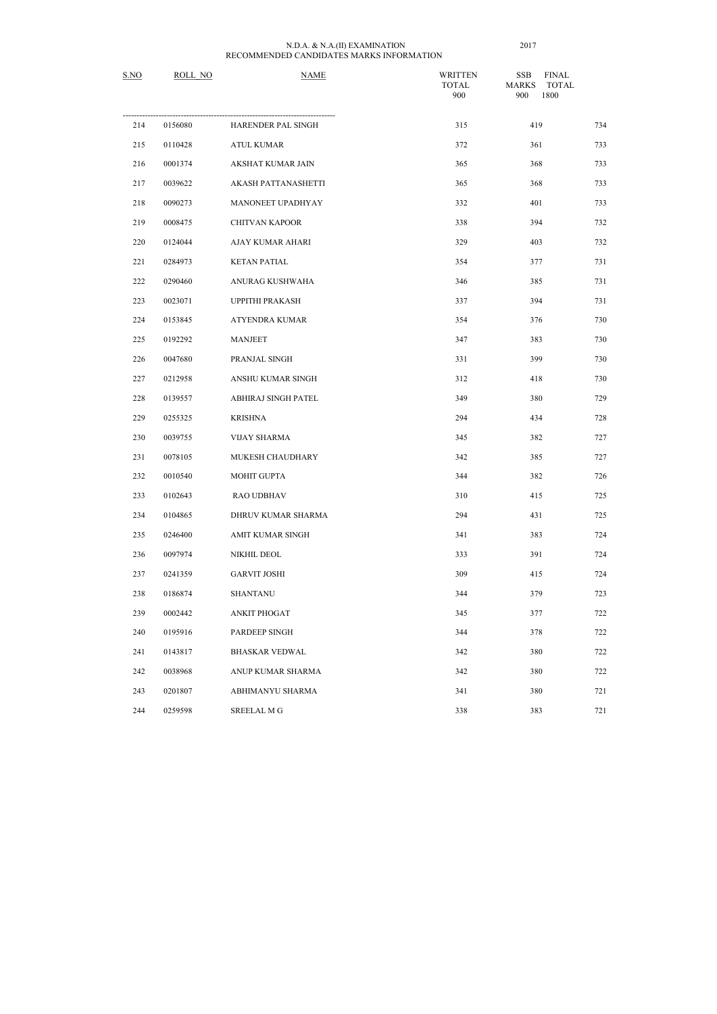| S.NO | ROLL NO | <b>NAME</b>           | <b>WRITTEN</b><br><b>TOTAL</b><br>900 | <b>SSB</b><br><b>FINAL</b><br><b>MARKS</b><br><b>TOTAL</b><br>1800<br>900 |     |
|------|---------|-----------------------|---------------------------------------|---------------------------------------------------------------------------|-----|
| 214  | 0156080 | HARENDER PAL SINGH    | 315                                   | 419                                                                       | 734 |
| 215  | 0110428 | <b>ATUL KUMAR</b>     | 372                                   | 361                                                                       | 733 |
| 216  | 0001374 | AKSHAT KUMAR JAIN     | 365                                   | 368                                                                       | 733 |
| 217  | 0039622 | AKASH PATTANASHETTI   | 365                                   | 368                                                                       | 733 |
| 218  | 0090273 | MANONEET UPADHYAY     | 332                                   | 401                                                                       | 733 |
| 219  | 0008475 | <b>CHITVAN KAPOOR</b> | 338                                   | 394                                                                       | 732 |
| 220  | 0124044 | AJAY KUMAR AHARI      | 329                                   | 403                                                                       | 732 |
| 221  | 0284973 | <b>KETAN PATIAL</b>   | 354                                   | 377                                                                       | 731 |
| 222  | 0290460 | ANURAG KUSHWAHA       | 346                                   | 385                                                                       | 731 |
| 223  | 0023071 | UPPITHI PRAKASH       | 337                                   | 394                                                                       | 731 |
| 224  | 0153845 | ATYENDRA KUMAR        | 354                                   | 376                                                                       | 730 |
| 225  | 0192292 | <b>MANJEET</b>        | 347                                   | 383                                                                       | 730 |
| 226  | 0047680 | PRANJAL SINGH         | 331                                   | 399                                                                       | 730 |
| 227  | 0212958 | ANSHU KUMAR SINGH     | 312                                   | 418                                                                       | 730 |
| 228  | 0139557 | ABHIRAJ SINGH PATEL   | 349                                   | 380                                                                       | 729 |
| 229  | 0255325 | <b>KRISHNA</b>        | 294                                   | 434                                                                       | 728 |
| 230  | 0039755 | <b>VIJAY SHARMA</b>   | 345                                   | 382                                                                       | 727 |
| 231  | 0078105 | MUKESH CHAUDHARY      | 342                                   | 385                                                                       | 727 |
| 232  | 0010540 | MOHIT GUPTA           | 344                                   | 382                                                                       | 726 |
| 233  | 0102643 | RAO UDBHAV            | 310                                   | 415                                                                       | 725 |
| 234  | 0104865 | DHRUV KUMAR SHARMA    | 294                                   | 431                                                                       | 725 |
| 235  | 0246400 | AMIT KUMAR SINGH      | 341                                   | 383                                                                       | 724 |
| 236  | 0097974 | NIKHIL DEOL           | 333                                   | 391                                                                       | 724 |

| 225 | 0192292 | <b>MANJEET</b>        | 347 | 383 | 730 |
|-----|---------|-----------------------|-----|-----|-----|
| 226 | 0047680 | PRANJAL SINGH         | 331 | 399 | 730 |
| 227 | 0212958 | ANSHU KUMAR SINGH     | 312 | 418 | 730 |
| 228 | 0139557 | ABHIRAJ SINGH PATEL   | 349 | 380 | 729 |
| 229 | 0255325 | <b>KRISHNA</b>        | 294 | 434 | 728 |
| 230 | 0039755 | <b>VIJAY SHARMA</b>   | 345 | 382 | 727 |
| 231 | 0078105 | MUKESH CHAUDHARY      | 342 | 385 | 727 |
| 232 | 0010540 | MOHIT GUPTA           | 344 | 382 | 726 |
| 233 | 0102643 | RAO UDBHAV            | 310 | 415 | 725 |
| 234 | 0104865 | DHRUV KUMAR SHARMA    | 294 | 431 | 725 |
| 235 | 0246400 | AMIT KUMAR SINGH      | 341 | 383 | 724 |
| 236 | 0097974 | NIKHIL DEOL           | 333 | 391 | 724 |
| 237 | 0241359 | <b>GARVIT JOSHI</b>   | 309 | 415 | 724 |
| 238 | 0186874 | <b>SHANTANU</b>       | 344 | 379 | 723 |
| 239 | 0002442 | ANKIT PHOGAT          | 345 | 377 | 722 |
| 240 | 0195916 | PARDEEP SINGH         | 344 | 378 | 722 |
| 241 | 0143817 | <b>BHASKAR VEDWAL</b> | 342 | 380 | 722 |
| 242 | 0038968 | ANUP KUMAR SHARMA     | 342 | 380 | 722 |
| 243 | 0201807 | ABHIMANYU SHARMA      | 341 | 380 | 721 |
| 244 | 0259598 | <b>SREELAL MG</b>     | 338 | 383 | 721 |
|     |         |                       |     |     |     |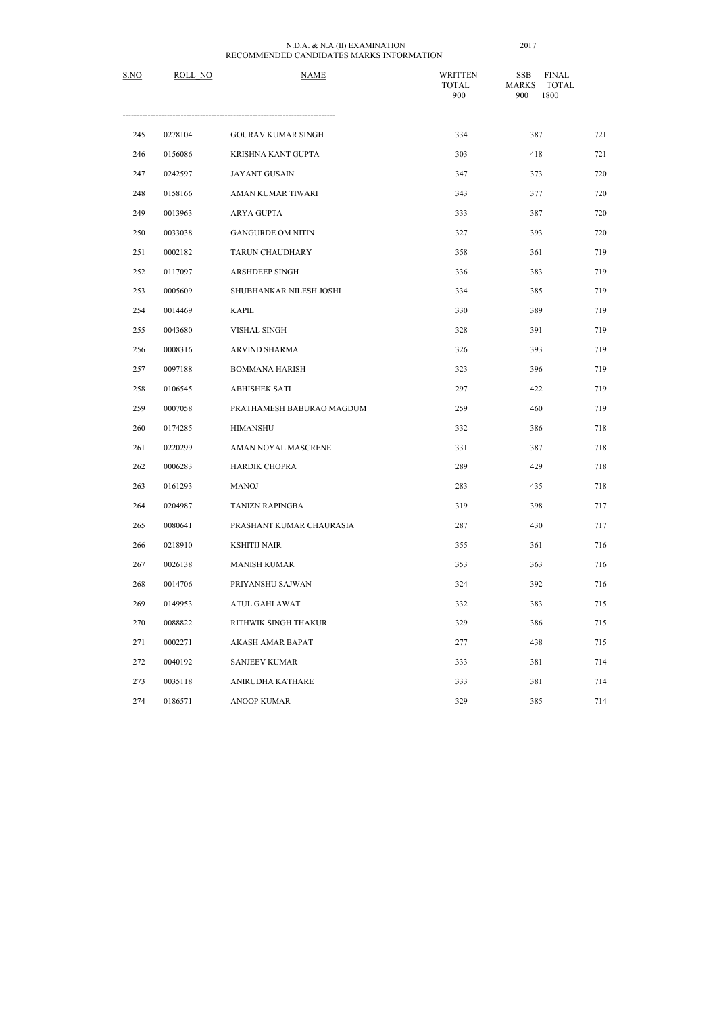| S.NO | ROLL NO | <b>NAME</b>               | <b>WRITTEN</b><br><b>TOTAL</b><br>900 | <b>SSB</b><br><b>FINAL</b><br><b>MARKS</b><br><b>TOTAL</b><br>1800<br>900 |     |
|------|---------|---------------------------|---------------------------------------|---------------------------------------------------------------------------|-----|
| 245  | 0278104 | <b>GOURAV KUMAR SINGH</b> | 334                                   | 387                                                                       | 721 |
| 246  | 0156086 | KRISHNA KANT GUPTA        | 303                                   | 418                                                                       | 721 |
| 247  | 0242597 | <b>JAYANT GUSAIN</b>      | 347                                   | 373                                                                       | 720 |
| 248  | 0158166 | AMAN KUMAR TIWARI         | 343                                   | 377                                                                       | 720 |
| 249  | 0013963 | ARYA GUPTA                | 333                                   | 387                                                                       | 720 |
| 250  | 0033038 | <b>GANGURDE OM NITIN</b>  | 327                                   | 393                                                                       | 720 |
| 251  | 0002182 | TARUN CHAUDHARY           | 358                                   | 361                                                                       | 719 |
| 252  | 0117097 | ARSHDEEP SINGH            | 336                                   | 383                                                                       | 719 |
| 253  | 0005609 | SHUBHANKAR NILESH JOSHI   | 334                                   | 385                                                                       | 719 |
| 254  | 0014469 | <b>KAPIL</b>              | 330                                   | 389                                                                       | 719 |
| 255  | 0043680 | <b>VISHAL SINGH</b>       | 328                                   | 391                                                                       | 719 |
| 256  | 0008316 | <b>ARVIND SHARMA</b>      | 326                                   | 393                                                                       | 719 |
| 257  | 0097188 | <b>BOMMANA HARISH</b>     | 323                                   | 396                                                                       | 719 |
| 258  | 0106545 | <b>ABHISHEK SATI</b>      | 297                                   | 422                                                                       | 719 |
| 259  | 0007058 | PRATHAMESH BABURAO MAGDUM | 259                                   | 460                                                                       | 719 |
| 260  | 0174285 | <b>HIMANSHU</b>           | 332                                   | 386                                                                       | 718 |
| 261  | 0220299 | AMAN NOYAL MASCRENE       | 331                                   | 387                                                                       | 718 |
| 262  | 0006283 | HARDIK CHOPRA             | 289                                   | 429                                                                       | 718 |
| 263  | 0161293 | <b>MANOJ</b>              | 283                                   | 435                                                                       | 718 |
| 264  | 0204987 | <b>TANIZN RAPINGBA</b>    | 319                                   | 398                                                                       | 717 |
| 265  | 0080641 | PRASHANT KUMAR CHAURASIA  | 287                                   | 430                                                                       | 717 |
| 266  | 0218910 | <b>KSHITIJ NAIR</b>       | 355                                   | 361                                                                       | 716 |
| 267  | 0026138 | <b>MANISH KUMAR</b>       | 353                                   | 363                                                                       | 716 |
| 268  | 0014706 | PRIYANSHU SAJWAN          | 324                                   | 392                                                                       | 716 |
| 269  | 0149953 | ATUL GAHLAWAT             | 332                                   | 383                                                                       | 715 |
| 270  | 0088822 | RITHWIK SINGH THAKUR      | 329                                   | 386                                                                       | 715 |
| 271  | 0002271 | AKASH AMAR BAPAT          | 277                                   | 438                                                                       | 715 |
| 272  | 0040192 | <b>SANJEEV KUMAR</b>      | 333                                   | 381                                                                       | 714 |
| 273  | 0035118 | ANIRUDHA KATHARE          | 333                                   | 381                                                                       | 714 |
| 274  | 0186571 | ANOOP KUMAR               | 329                                   | 385                                                                       | 714 |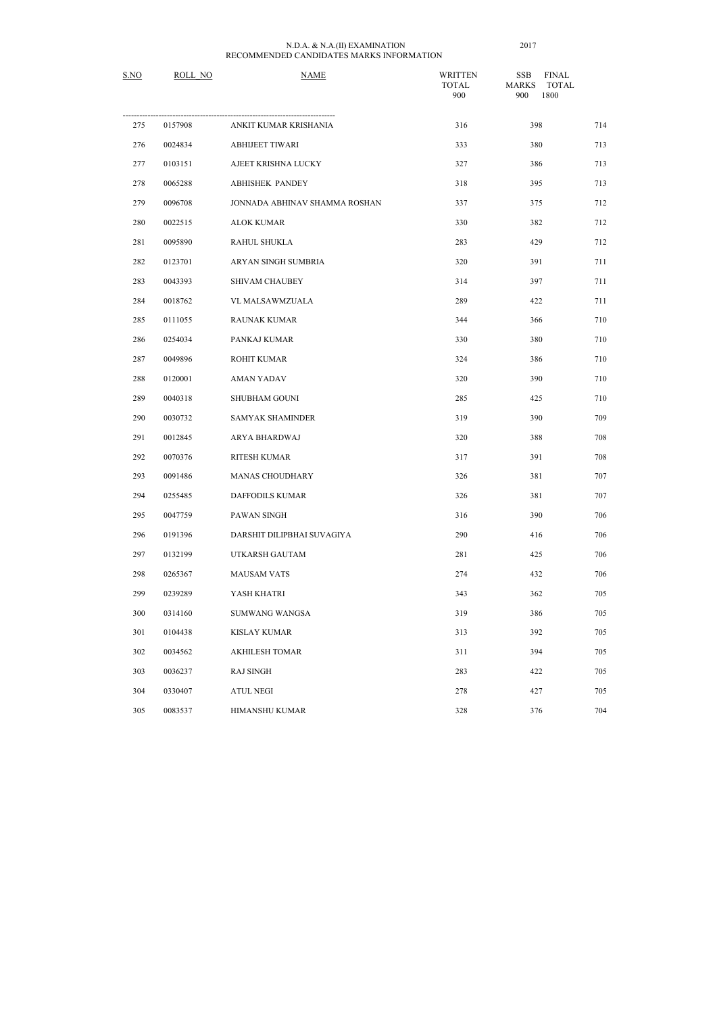| S.NO | ROLL NO | <b>NAME</b>                   | <b>WRITTEN</b><br><b>TOTAL</b><br>900 | <b>FINAL</b><br><b>SSB</b><br><b>MARKS</b><br><b>TOTAL</b><br>1800<br>900 |     |
|------|---------|-------------------------------|---------------------------------------|---------------------------------------------------------------------------|-----|
| 275  | 0157908 | ANKIT KUMAR KRISHANIA         | 316                                   | 398                                                                       | 714 |
| 276  | 0024834 | <b>ABHIJEET TIWARI</b>        | 333                                   | 380                                                                       | 713 |
| 277  | 0103151 | AJEET KRISHNA LUCKY           | 327                                   | 386                                                                       | 713 |
| 278  | 0065288 | <b>ABHISHEK PANDEY</b>        | 318                                   | 395                                                                       | 713 |
| 279  | 0096708 | JONNADA ABHINAV SHAMMA ROSHAN | 337                                   | 375                                                                       | 712 |
| 280  | 0022515 | <b>ALOK KUMAR</b>             | 330                                   | 382                                                                       | 712 |
| 281  | 0095890 | RAHUL SHUKLA                  | 283                                   | 429                                                                       | 712 |
| 282  | 0123701 | ARYAN SINGH SUMBRIA           | 320                                   | 391                                                                       | 711 |
| 283  | 0043393 | SHIVAM CHAUBEY                | 314                                   | 397                                                                       | 711 |
| 284  | 0018762 | VL MALSAWMZUALA               | 289                                   | 422                                                                       | 711 |
| 285  | 0111055 | <b>RAUNAK KUMAR</b>           | 344                                   | 366                                                                       | 710 |
| 286  | 0254034 | PANKAJ KUMAR                  | 330                                   | 380                                                                       | 710 |
| 287  | 0049896 | ROHIT KUMAR                   | 324                                   | 386                                                                       | 710 |
| 288  | 0120001 | <b>AMAN YADAV</b>             | 320                                   | 390                                                                       | 710 |
| 289  | 0040318 | <b>SHUBHAM GOUNI</b>          | 285                                   | 425                                                                       | 710 |
| 290  | 0030732 | SAMYAK SHAMINDER              | 319                                   | 390                                                                       | 709 |
| 291  | 0012845 | ARYA BHARDWAJ                 | 320                                   | 388                                                                       | 708 |
| 292  | 0070376 | RITESH KUMAR                  | 317                                   | 391                                                                       | 708 |
| 293  | 0091486 | MANAS CHOUDHARY               | 326                                   | 381                                                                       | 707 |
| 294  | 0255485 | <b>DAFFODILS KUMAR</b>        | 326                                   | 381                                                                       | 707 |
| 295  | 0047759 | PAWAN SINGH                   | 316                                   | 390                                                                       | 706 |
| 296  | 0191396 | DARSHIT DILIPBHAI SUVAGIYA    | 290                                   | 416                                                                       | 706 |
| 297  | 0132199 | UTKARSH GAUTAM                | 281                                   | 425                                                                       | 706 |
| 298  | 0265367 | <b>MAUSAM VATS</b>            | 274                                   | 432                                                                       | 706 |
| 299  | 0239289 | YASH KHATRI                   | 343                                   | 362                                                                       | 705 |
| 300  | 0314160 | SUMWANG WANGSA                | 319                                   | 386                                                                       | 705 |
| 301  | 0104438 | <b>KISLAY KUMAR</b>           | 313                                   | 392                                                                       | 705 |
| 302  | 0034562 | <b>AKHILESH TOMAR</b>         | 311                                   | 394                                                                       | 705 |
| 303  | 0036237 | <b>RAJ SINGH</b>              | 283                                   | 422                                                                       | 705 |
| 304  | 0330407 | <b>ATUL NEGI</b>              | 278                                   | 427                                                                       | 705 |
| 305  | 0083537 | HIMANSHU KUMAR                | 328                                   | 376                                                                       | 704 |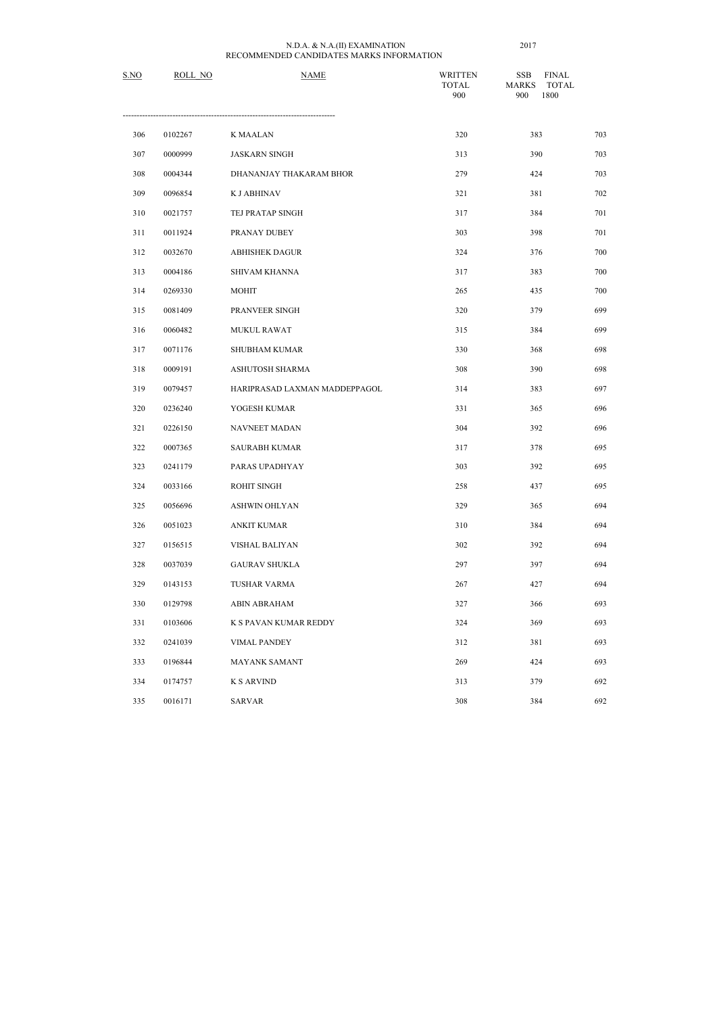| S.NO | ROLL NO | <b>NAME</b>                   | <b>WRITTEN</b><br><b>TOTAL</b><br>900 | <b>SSB</b><br><b>FINAL</b><br><b>MARKS</b><br><b>TOTAL</b><br>1800<br>900 |     |
|------|---------|-------------------------------|---------------------------------------|---------------------------------------------------------------------------|-----|
| 306  | 0102267 | <b>K MAALAN</b>               | 320                                   | 383                                                                       | 703 |
| 307  | 0000999 | <b>JASKARN SINGH</b>          | 313                                   | 390                                                                       | 703 |
| 308  | 0004344 | DHANANJAY THAKARAM BHOR       | 279                                   | 424                                                                       | 703 |
| 309  | 0096854 | <b>K J ABHINAV</b>            | 321                                   | 381                                                                       | 702 |
| 310  | 0021757 | TEJ PRATAP SINGH              | 317                                   | 384                                                                       | 701 |
| 311  | 0011924 | PRANAY DUBEY                  | 303                                   | 398                                                                       | 701 |
| 312  | 0032670 | <b>ABHISHEK DAGUR</b>         | 324                                   | 376                                                                       | 700 |
| 313  | 0004186 | <b>SHIVAM KHANNA</b>          | 317                                   | 383                                                                       | 700 |
| 314  | 0269330 | <b>MOHIT</b>                  | 265                                   | 435                                                                       | 700 |
| 315  | 0081409 | PRANVEER SINGH                | 320                                   | 379                                                                       | 699 |
| 316  | 0060482 | MUKUL RAWAT                   | 315                                   | 384                                                                       | 699 |
| 317  | 0071176 | <b>SHUBHAM KUMAR</b>          | 330                                   | 368                                                                       | 698 |
| 318  | 0009191 | ASHUTOSH SHARMA               | 308                                   | 390                                                                       | 698 |
| 319  | 0079457 | HARIPRASAD LAXMAN MADDEPPAGOL | 314                                   | 383                                                                       | 697 |
| 320  | 0236240 | YOGESH KUMAR                  | 331                                   | 365                                                                       | 696 |
| 321  | 0226150 | NAVNEET MADAN                 | 304                                   | 392                                                                       | 696 |
| 322  | 0007365 | <b>SAURABH KUMAR</b>          | 317                                   | 378                                                                       | 695 |
| 323  | 0241179 | PARAS UPADHYAY                | 303                                   | 392                                                                       | 695 |
| 324  | 0033166 | ROHIT SINGH                   | 258                                   | 437                                                                       | 695 |
| 325  | 0056696 | <b>ASHWIN OHLYAN</b>          | 329                                   | 365                                                                       | 694 |
| 326  | 0051023 | <b>ANKIT KUMAR</b>            | 310                                   | 384                                                                       | 694 |
| 327  | 0156515 | VISHAL BALIYAN                | 302                                   | 392                                                                       | 694 |
| 328  | 0037039 | <b>GAURAV SHUKLA</b>          | 297                                   | 397                                                                       | 694 |
| 329  | 0143153 | <b>TUSHAR VARMA</b>           | 267                                   | 427                                                                       | 694 |
| 330  | 0129798 | ABIN ABRAHAM                  | 327                                   | 366                                                                       | 693 |
| 331  | 0103606 | K S PAVAN KUMAR REDDY         | 324                                   | 369                                                                       | 693 |
| 332  | 0241039 | <b>VIMAL PANDEY</b>           | 312                                   | 381                                                                       | 693 |
| 333  | 0196844 | MAYANK SAMANT                 | 269                                   | 424                                                                       | 693 |
| 334  | 0174757 | <b>K S ARVIND</b>             | 313                                   | 379                                                                       | 692 |
| 335  | 0016171 | <b>SARVAR</b>                 | 308                                   | 384                                                                       | 692 |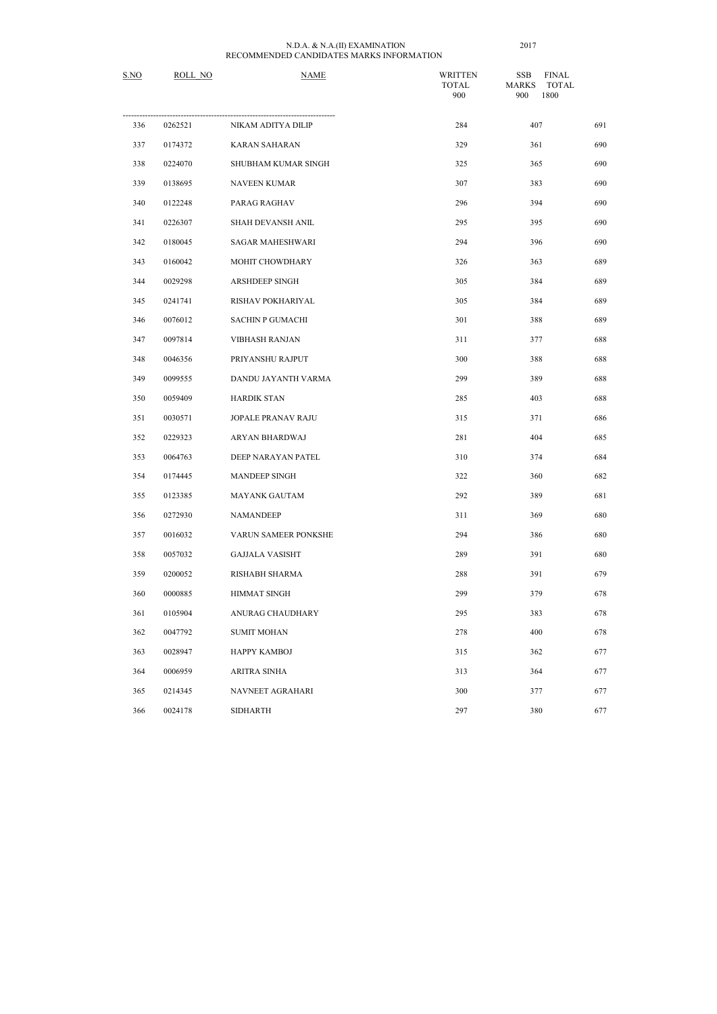| S.NO | ROLL NO | <b>NAME</b>               | <b>WRITTEN</b><br><b>TOTAL</b><br>900 | <b>FINAL</b><br><b>SSB</b><br><b>MARKS</b><br><b>TOTAL</b><br>1800<br>900 |     |
|------|---------|---------------------------|---------------------------------------|---------------------------------------------------------------------------|-----|
| 336  | 0262521 | NIKAM ADITYA DILIP        | 284                                   | 407                                                                       | 691 |
| 337  | 0174372 | <b>KARAN SAHARAN</b>      | 329                                   | 361                                                                       | 690 |
| 338  | 0224070 | SHUBHAM KUMAR SINGH       | 325                                   | 365                                                                       | 690 |
| 339  | 0138695 | NAVEEN KUMAR              | 307                                   | 383                                                                       | 690 |
| 340  | 0122248 | PARAG RAGHAV              | 296                                   | 394                                                                       | 690 |
| 341  | 0226307 | SHAH DEVANSH ANIL         | 295                                   | 395                                                                       | 690 |
| 342  | 0180045 | <b>SAGAR MAHESHWARI</b>   | 294                                   | 396                                                                       | 690 |
| 343  | 0160042 | MOHIT CHOWDHARY           | 326                                   | 363                                                                       | 689 |
| 344  | 0029298 | <b>ARSHDEEP SINGH</b>     | 305                                   | 384                                                                       | 689 |
| 345  | 0241741 | RISHAV POKHARIYAL         | 305                                   | 384                                                                       | 689 |
| 346  | 0076012 | <b>SACHIN P GUMACHI</b>   | 301                                   | 388                                                                       | 689 |
| 347  | 0097814 | <b>VIBHASH RANJAN</b>     | 311                                   | 377                                                                       | 688 |
| 348  | 0046356 | PRIYANSHU RAJPUT          | 300                                   | 388                                                                       | 688 |
| 349  | 0099555 | DANDU JAYANTH VARMA       | 299                                   | 389                                                                       | 688 |
| 350  | 0059409 | <b>HARDIK STAN</b>        | 285                                   | 403                                                                       | 688 |
| 351  | 0030571 | <b>JOPALE PRANAV RAJU</b> | 315                                   | 371                                                                       | 686 |
| 352  | 0229323 | ARYAN BHARDWAJ            | 281                                   | 404                                                                       | 685 |
| 353  | 0064763 | DEEP NARAYAN PATEL        | 310                                   | 374                                                                       | 684 |
| 354  | 0174445 | MANDEEP SINGH             | 322                                   | 360                                                                       | 682 |
| 355  | 0123385 | <b>MAYANK GAUTAM</b>      | 292                                   | 389                                                                       | 681 |
| 356  | 0272930 | <b>NAMANDEEP</b>          | 311                                   | 369                                                                       | 680 |
| 357  | 0016032 | VARUN SAMEER PONKSHE      | 294                                   | 386                                                                       | 680 |
| 358  | 0057032 | <b>GAJJALA VASISHT</b>    | 289                                   | 391                                                                       | 680 |
| 359  | 0200052 | RISHABH SHARMA            | 288                                   | 391                                                                       | 679 |
| 360  | 0000885 | HIMMAT SINGH              | 299                                   | 379                                                                       | 678 |
| 361  | 0105904 | ANURAG CHAUDHARY          | 295                                   | 383                                                                       | 678 |
| 362  | 0047792 | <b>SUMIT MOHAN</b>        | 278                                   | 400                                                                       | 678 |
| 363  | 0028947 | HAPPY KAMBOJ              | 315                                   | 362                                                                       | 677 |
| 364  | 0006959 | <b>ARITRA SINHA</b>       | 313                                   | 364                                                                       | 677 |
| 365  | 0214345 | NAVNEET AGRAHARI          | 300                                   | 377                                                                       | 677 |
| 366  | 0024178 | <b>SIDHARTH</b>           | 297                                   | 380                                                                       | 677 |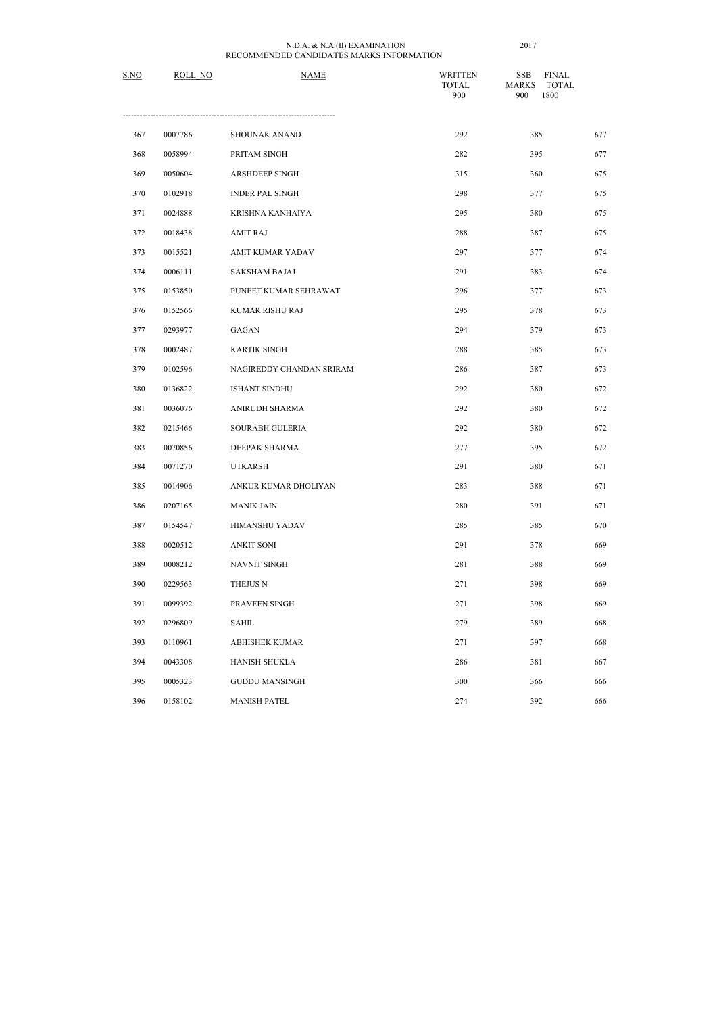| S.NO | ROLL NO | <b>NAME</b>              | <b>WRITTEN</b><br><b>TOTAL</b><br>900 | <b>FINAL</b><br><b>SSB</b><br><b>MARKS</b><br><b>TOTAL</b><br>1800<br>900 |     |
|------|---------|--------------------------|---------------------------------------|---------------------------------------------------------------------------|-----|
| 367  | 0007786 | SHOUNAK ANAND            | 292                                   | 385                                                                       | 677 |
| 368  | 0058994 | PRITAM SINGH             | 282                                   | 395                                                                       | 677 |
| 369  | 0050604 | <b>ARSHDEEP SINGH</b>    | 315                                   | 360                                                                       | 675 |
| 370  | 0102918 | <b>INDER PAL SINGH</b>   | 298                                   | 377                                                                       | 675 |
| 371  | 0024888 | KRISHNA KANHAIYA         | 295                                   | 380                                                                       | 675 |
| 372  | 0018438 | <b>AMIT RAJ</b>          | 288                                   | 387                                                                       | 675 |
| 373  | 0015521 | <b>AMIT KUMAR YADAV</b>  | 297                                   | 377                                                                       | 674 |
| 374  | 0006111 | <b>SAKSHAM BAJAJ</b>     | 291                                   | 383                                                                       | 674 |
| 375  | 0153850 | PUNEET KUMAR SEHRAWAT    | 296                                   | 377                                                                       | 673 |
| 376  | 0152566 | KUMAR RISHU RAJ          | 295                                   | 378                                                                       | 673 |
| 377  | 0293977 | <b>GAGAN</b>             | 294                                   | 379                                                                       | 673 |
| 378  | 0002487 | <b>KARTIK SINGH</b>      | 288                                   | 385                                                                       | 673 |
| 379  | 0102596 | NAGIREDDY CHANDAN SRIRAM | 286                                   | 387                                                                       | 673 |
| 380  | 0136822 | ISHANT SINDHU            | 292                                   | 380                                                                       | 672 |
| 381  | 0036076 | ANIRUDH SHARMA           | 292                                   | 380                                                                       | 672 |
| 382  | 0215466 | <b>SOURABH GULERIA</b>   | 292                                   | 380                                                                       | 672 |
| 383  | 0070856 | DEEPAK SHARMA            | 277                                   | 395                                                                       | 672 |
| 384  | 0071270 | <b>UTKARSH</b>           | 291                                   | 380                                                                       | 671 |
| 385  | 0014906 | ANKUR KUMAR DHOLIYAN     | 283                                   | 388                                                                       | 671 |
| 386  | 0207165 | <b>MANIK JAIN</b>        | 280                                   | 391                                                                       | 671 |
| 387  | 0154547 | HIMANSHU YADAV           | 285                                   | 385                                                                       | 670 |
| 388  | 0020512 | <b>ANKIT SONI</b>        | 291                                   | 378                                                                       | 669 |
| 389  | 0008212 | NAVNIT SINGH             | 281                                   | 388                                                                       | 669 |
| 390  | 0229563 | THEJUS N                 | 271                                   | 398                                                                       | 669 |
| 391  | 0099392 | PRAVEEN SINGH            | 271                                   | 398                                                                       | 669 |
| 392  | 0296809 | SAHIL                    | 279                                   | 389                                                                       | 668 |
| 393  | 0110961 | <b>ABHISHEK KUMAR</b>    | 271                                   | 397                                                                       | 668 |
| 394  | 0043308 | HANISH SHUKLA            | 286                                   | 381                                                                       | 667 |
| 395  | 0005323 | <b>GUDDU MANSINGH</b>    | 300                                   | 366                                                                       | 666 |
| 396  | 0158102 | <b>MANISH PATEL</b>      | 274                                   | 392                                                                       | 666 |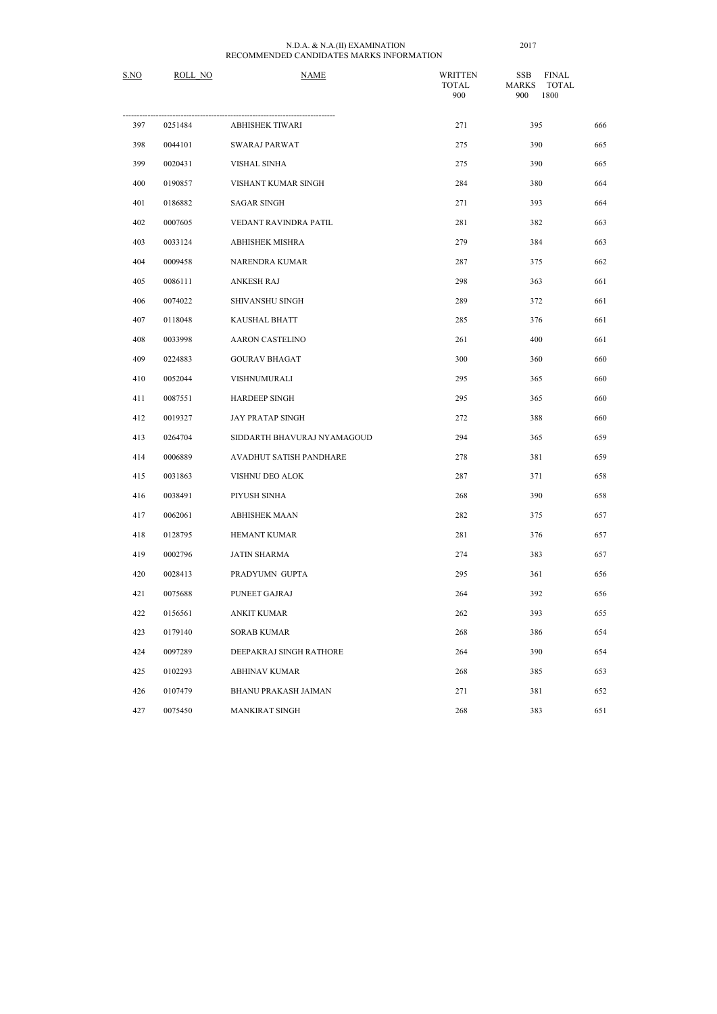| S.NO | ROLL NO | <b>NAME</b>                 | <b>WRITTEN</b><br><b>TOTAL</b><br>900 | <b>FINAL</b><br><b>SSB</b><br><b>MARKS</b><br><b>TOTAL</b><br>1800<br>900 |     |
|------|---------|-----------------------------|---------------------------------------|---------------------------------------------------------------------------|-----|
| 397  | 0251484 | ABHISHEK TIWARI             | 271                                   | 395                                                                       | 666 |
| 398  | 0044101 | <b>SWARAJ PARWAT</b>        | 275                                   | 390                                                                       | 665 |
| 399  | 0020431 | <b>VISHAL SINHA</b>         | 275                                   | 390                                                                       | 665 |
| 400  | 0190857 | VISHANT KUMAR SINGH         | 284                                   | 380                                                                       | 664 |
| 401  | 0186882 | <b>SAGAR SINGH</b>          | 271                                   | 393                                                                       | 664 |
| 402  | 0007605 | VEDANT RAVINDRA PATIL       | 281                                   | 382                                                                       | 663 |
| 403  | 0033124 | <b>ABHISHEK MISHRA</b>      | 279                                   | 384                                                                       | 663 |
| 404  | 0009458 | <b>NARENDRA KUMAR</b>       | 287                                   | 375                                                                       | 662 |
| 405  | 0086111 | <b>ANKESH RAJ</b>           | 298                                   | 363                                                                       | 661 |
| 406  | 0074022 | SHIVANSHU SINGH             | 289                                   | 372                                                                       | 661 |
| 407  | 0118048 | KAUSHAL BHATT               | 285                                   | 376                                                                       | 661 |
| 408  | 0033998 | <b>AARON CASTELINO</b>      | 261                                   | 400                                                                       | 661 |
| 409  | 0224883 | <b>GOURAV BHAGAT</b>        | 300                                   | 360                                                                       | 660 |
| 410  | 0052044 | VISHNUMURALI                | 295                                   | 365                                                                       | 660 |
| 411  | 0087551 | HARDEEP SINGH               | 295                                   | 365                                                                       | 660 |
| 412  | 0019327 | <b>JAY PRATAP SINGH</b>     | 272                                   | 388                                                                       | 660 |
| 413  | 0264704 | SIDDARTH BHAVURAJ NYAMAGOUD | 294                                   | 365                                                                       | 659 |
| 414  | 0006889 | AVADHUT SATISH PANDHARE     | 278                                   | 381                                                                       | 659 |
| 415  | 0031863 | VISHNU DEO ALOK             | 287                                   | 371                                                                       | 658 |
| 416  | 0038491 | PIYUSH SINHA                | 268                                   | 390                                                                       | 658 |
| 417  | 0062061 | <b>ABHISHEK MAAN</b>        | 282                                   | 375                                                                       | 657 |
| 418  | 0128795 | HEMANT KUMAR                | 281                                   | 376                                                                       | 657 |
| 419  | 0002796 | <b>JATIN SHARMA</b>         | 274                                   | 383                                                                       | 657 |
| 420  | 0028413 | PRADYUMN GUPTA              | 295                                   | 361                                                                       | 656 |
| 421  | 0075688 | PUNEET GAJRAJ               | 264                                   | 392                                                                       | 656 |
| 422  | 0156561 | <b>ANKIT KUMAR</b>          | 262                                   | 393                                                                       | 655 |
| 423  | 0179140 | <b>SORAB KUMAR</b>          | 268                                   | 386                                                                       | 654 |
| 424  | 0097289 | DEEPAKRAJ SINGH RATHORE     | 264                                   | 390                                                                       | 654 |
| 425  | 0102293 | <b>ABHINAV KUMAR</b>        | 268                                   | 385                                                                       | 653 |
| 426  | 0107479 | BHANU PRAKASH JAIMAN        | 271                                   | 381                                                                       | 652 |
| 427  | 0075450 | MANKIRAT SINGH              | 268                                   | 383                                                                       | 651 |